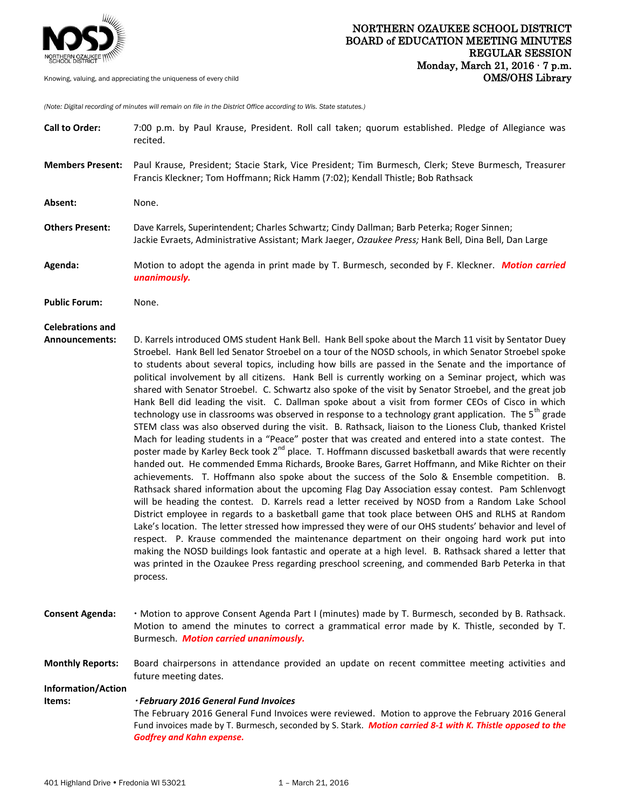

Knowing, valuing, and appreciating the uniqueness of every child

*(Note: Digital recording of minutes will remain on file in the District Office according to Wis. State statutes.)*

| <b>Call to Order:</b>                     | 7:00 p.m. by Paul Krause, President. Roll call taken; quorum established. Pledge of Allegiance was<br>recited.                                                                                                                                                                                                                                                                                                                                                                                                                                                                                                                                                                                                                                                                                                                                                                                                                                                                                                                                                                                                                                                                                                                                                                                                                                                                                                                                                                                                                                                                                                                                                                                                                                                                                                                                                                                                                                                                                                                                                              |
|-------------------------------------------|-----------------------------------------------------------------------------------------------------------------------------------------------------------------------------------------------------------------------------------------------------------------------------------------------------------------------------------------------------------------------------------------------------------------------------------------------------------------------------------------------------------------------------------------------------------------------------------------------------------------------------------------------------------------------------------------------------------------------------------------------------------------------------------------------------------------------------------------------------------------------------------------------------------------------------------------------------------------------------------------------------------------------------------------------------------------------------------------------------------------------------------------------------------------------------------------------------------------------------------------------------------------------------------------------------------------------------------------------------------------------------------------------------------------------------------------------------------------------------------------------------------------------------------------------------------------------------------------------------------------------------------------------------------------------------------------------------------------------------------------------------------------------------------------------------------------------------------------------------------------------------------------------------------------------------------------------------------------------------------------------------------------------------------------------------------------------------|
| <b>Members Present:</b>                   | Paul Krause, President; Stacie Stark, Vice President; Tim Burmesch, Clerk; Steve Burmesch, Treasurer<br>Francis Kleckner; Tom Hoffmann; Rick Hamm (7:02); Kendall Thistle; Bob Rathsack                                                                                                                                                                                                                                                                                                                                                                                                                                                                                                                                                                                                                                                                                                                                                                                                                                                                                                                                                                                                                                                                                                                                                                                                                                                                                                                                                                                                                                                                                                                                                                                                                                                                                                                                                                                                                                                                                     |
| Absent:                                   | None.                                                                                                                                                                                                                                                                                                                                                                                                                                                                                                                                                                                                                                                                                                                                                                                                                                                                                                                                                                                                                                                                                                                                                                                                                                                                                                                                                                                                                                                                                                                                                                                                                                                                                                                                                                                                                                                                                                                                                                                                                                                                       |
| <b>Others Present:</b>                    | Dave Karrels, Superintendent; Charles Schwartz; Cindy Dallman; Barb Peterka; Roger Sinnen;<br>Jackie Evraets, Administrative Assistant; Mark Jaeger, Ozaukee Press; Hank Bell, Dina Bell, Dan Large                                                                                                                                                                                                                                                                                                                                                                                                                                                                                                                                                                                                                                                                                                                                                                                                                                                                                                                                                                                                                                                                                                                                                                                                                                                                                                                                                                                                                                                                                                                                                                                                                                                                                                                                                                                                                                                                         |
| Agenda:                                   | Motion to adopt the agenda in print made by T. Burmesch, seconded by F. Kleckner. Motion carried<br>unanimously.                                                                                                                                                                                                                                                                                                                                                                                                                                                                                                                                                                                                                                                                                                                                                                                                                                                                                                                                                                                                                                                                                                                                                                                                                                                                                                                                                                                                                                                                                                                                                                                                                                                                                                                                                                                                                                                                                                                                                            |
| <b>Public Forum:</b>                      | None.                                                                                                                                                                                                                                                                                                                                                                                                                                                                                                                                                                                                                                                                                                                                                                                                                                                                                                                                                                                                                                                                                                                                                                                                                                                                                                                                                                                                                                                                                                                                                                                                                                                                                                                                                                                                                                                                                                                                                                                                                                                                       |
| <b>Celebrations and</b><br>Announcements: | D. Karrels introduced OMS student Hank Bell. Hank Bell spoke about the March 11 visit by Sentator Duey<br>Stroebel. Hank Bell led Senator Stroebel on a tour of the NOSD schools, in which Senator Stroebel spoke<br>to students about several topics, including how bills are passed in the Senate and the importance of<br>political involvement by all citizens. Hank Bell is currently working on a Seminar project, which was<br>shared with Senator Stroebel. C. Schwartz also spoke of the visit by Senator Stroebel, and the great job<br>Hank Bell did leading the visit. C. Dallman spoke about a visit from former CEOs of Cisco in which<br>technology use in classrooms was observed in response to a technology grant application. The 5 <sup>th</sup> grade<br>STEM class was also observed during the visit. B. Rathsack, liaison to the Lioness Club, thanked Kristel<br>Mach for leading students in a "Peace" poster that was created and entered into a state contest. The<br>poster made by Karley Beck took 2 <sup>nd</sup> place. T. Hoffmann discussed basketball awards that were recently<br>handed out. He commended Emma Richards, Brooke Bares, Garret Hoffmann, and Mike Richter on their<br>achievements. T. Hoffmann also spoke about the success of the Solo & Ensemble competition. B.<br>Rathsack shared information about the upcoming Flag Day Association essay contest. Pam Schlenvogt<br>will be heading the contest. D. Karrels read a letter received by NOSD from a Random Lake School<br>District employee in regards to a basketball game that took place between OHS and RLHS at Random<br>Lake's location. The letter stressed how impressed they were of our OHS students' behavior and level of<br>respect. P. Krause commended the maintenance department on their ongoing hard work put into<br>making the NOSD buildings look fantastic and operate at a high level. B. Rathsack shared a letter that<br>was printed in the Ozaukee Press regarding preschool screening, and commended Barb Peterka in that<br>process. |
| <b>Consent Agenda:</b>                    | . Motion to approve Consent Agenda Part I (minutes) made by T. Burmesch, seconded by B. Rathsack.<br>Motion to amend the minutes to correct a grammatical error made by K. Thistle, seconded by T.<br>Burmesch. Motion carried unanimously.                                                                                                                                                                                                                                                                                                                                                                                                                                                                                                                                                                                                                                                                                                                                                                                                                                                                                                                                                                                                                                                                                                                                                                                                                                                                                                                                                                                                                                                                                                                                                                                                                                                                                                                                                                                                                                 |
| <b>Monthly Reports:</b>                   | Board chairpersons in attendance provided an update on recent committee meeting activities and<br>future meeting dates.                                                                                                                                                                                                                                                                                                                                                                                                                                                                                                                                                                                                                                                                                                                                                                                                                                                                                                                                                                                                                                                                                                                                                                                                                                                                                                                                                                                                                                                                                                                                                                                                                                                                                                                                                                                                                                                                                                                                                     |
| Information/Action                        | · February 2016 General Fund Invoices                                                                                                                                                                                                                                                                                                                                                                                                                                                                                                                                                                                                                                                                                                                                                                                                                                                                                                                                                                                                                                                                                                                                                                                                                                                                                                                                                                                                                                                                                                                                                                                                                                                                                                                                                                                                                                                                                                                                                                                                                                       |
| Items:                                    | The February 2016 General Fund Invoices were reviewed. Motion to approve the February 2016 General<br>Fund invoices made by T. Burmesch, seconded by S. Stark. Motion carried 8-1 with K. Thistle opposed to the<br><b>Godfrey and Kahn expense.</b>                                                                                                                                                                                                                                                                                                                                                                                                                                                                                                                                                                                                                                                                                                                                                                                                                                                                                                                                                                                                                                                                                                                                                                                                                                                                                                                                                                                                                                                                                                                                                                                                                                                                                                                                                                                                                        |